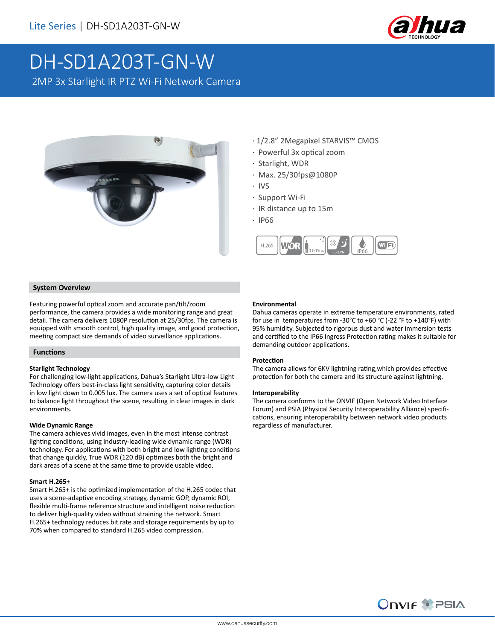

# DH-SD1A203T-GN-W

2MP 3x Starlight IR PTZ Wi-Fi Network Camera



- · 1/2.8" 2Megapixel STARVIS™ CMOS
- · Powerful 3x optical zoom
- · Starlight, WDR
- · Max. 25/30fps@1080P
- · IVS
	- · Support Wi-Fi
	- · IR distance up to 15m
	- · IP66



### **System Overview**

Featuring powerful optical zoom and accurate pan/tilt/zoom performance, the camera provides a wide monitoring range and great detail. The camera delivers 1080P resolution at 25/30fps. The camera is equipped with smooth control, high quality image, and good protection, meeting compact size demands of video surveillance applications.

### **Functions**

### **Starlight Technology**

For challenging low-light applications, Dahua's Starlight Ultra-low Light Technology offers best-in-class light sensitivity, capturing color details in low light down to 0.005 lux. The camera uses a set of optical features to balance light throughout the scene, resulting in clear images in dark environments.

### **Wide Dynamic Range**

The camera achieves vivid images, even in the most intense contrast lighting conditions, using industry-leading wide dynamic range (WDR) technology. For applications with both bright and low lighting conditions that change quickly, True WDR (120 dB) optimizes both the bright and dark areas of a scene at the same time to provide usable video.

### **Smart H.265+**

Smart H.265+ is the optimized implementation of the H.265 codec that uses a scene-adaptive encoding strategy, dynamic GOP, dynamic ROI, flexible multi-frame reference structure and intelligent noise reduction to deliver high-quality video without straining the network. Smart H.265+ technology reduces bit rate and storage requirements by up to 70% when compared to standard H.265 video compression.

### **Environmental**

Dahua cameras operate in extreme temperature environments, rated for use in temperatures from -30°C to +60 °C (-22 °F to +140°F) with 95% humidity. Subjected to rigorous dust and water immersion tests and certified to the IP66 Ingress Protection rating makes it suitable for demanding outdoor applications.

### **Protection**

The camera allows for 6KV lightning rating,which provides effective protection for both the camera and its structure against lightning.

#### **Interoperability**

The camera conforms to the ONVIF (Open Network Video Interface Forum) and PSIA (Physical Security Interoperability Alliance) specifications, ensuring interoperability between network video products regardless of manufacturer.

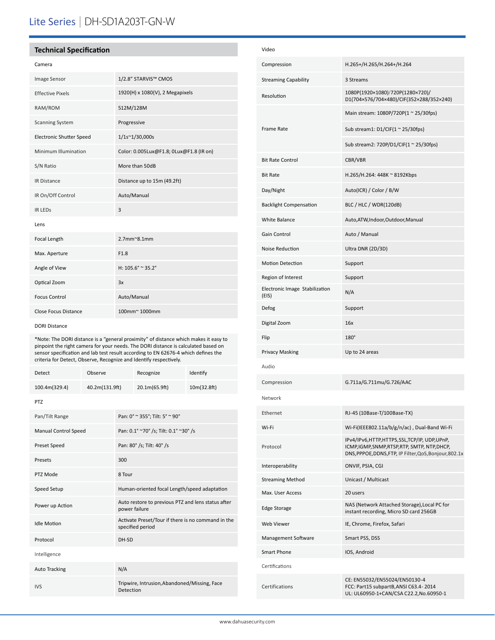# Lite Series | DH-SD1A203T-GN-W

### **Technical Specification**

| Camera                          |                                         |
|---------------------------------|-----------------------------------------|
| Image Sensor                    | 1/2.8" STARVIS™ CMOS                    |
| <b>Effective Pixels</b>         | 1920(H) x 1080(V), 2 Megapixels         |
| RAM/ROM                         | 512M/128M                               |
| <b>Scanning System</b>          | Progressive                             |
| <b>Electronic Shutter Speed</b> | 1/1s~1/30,000s                          |
| Minimum Illumination            | Color: 0.005Lux@F1.8; 0Lux@F1.8 (IR on) |
| S/N Ratio                       | More than 50dB                          |
| <b>IR Distance</b>              | Distance up to 15m (49.2ft)             |
| IR On/Off Control               | Auto/Manual                             |
| <b>IR LEDS</b>                  | 3                                       |
| Lens                            |                                         |
| Focal Length                    | $2.7$ mm $^{\sim}8.1$ mm                |
| Max. Aperture                   | F1.8                                    |
| Angle of View                   | H: 105.6° ~ 35.2°                       |
| Optical Zoom                    | 3x                                      |
| <b>Focus Control</b>            | Auto/Manual                             |
| <b>Close Focus Distance</b>     | 100mm~ 1000mm                           |

#### DORI Distance

\*Note: The DORI distance is a "general proximity" of distance which makes it easy to pinpoint the right camera for your needs. The DORI distance is calculated based on sensor specification and lab test result according to EN 62676-4 which defines the criteria for Detect, Observe, Recognize and Identify respectively.

| <b>Detect</b>               | Observe        |                                                                        | Recognize                                    | Identify    |  |  |
|-----------------------------|----------------|------------------------------------------------------------------------|----------------------------------------------|-------------|--|--|
| 100.4m(329.4)               | 40.2m(131.9ft) |                                                                        | 20.1m(65.9ft)                                | 10m(32.8ft) |  |  |
| <b>PTZ</b>                  |                |                                                                        |                                              |             |  |  |
| Pan/Tilt Range              |                | Pan: 0° ~ 355°; Tilt: 5° ~ 90°                                         |                                              |             |  |  |
| <b>Manual Control Speed</b> |                | Pan: 0.1° ~70° /s; Tilt: 0.1° ~30° /s                                  |                                              |             |  |  |
| Preset Speed                |                |                                                                        | Pan: 80° /s; Tilt: 40° /s                    |             |  |  |
| Presets                     |                | 300                                                                    |                                              |             |  |  |
| PTZ Mode                    |                | 8 Tour                                                                 |                                              |             |  |  |
| Speed Setup                 |                | Human-oriented focal Length/speed adaptation                           |                                              |             |  |  |
| Power up Action             |                | Auto restore to previous PTZ and lens status after<br>power failure    |                                              |             |  |  |
| <b>Idle Motion</b>          |                | Activate Preset/Tour if there is no command in the<br>specified period |                                              |             |  |  |
| Protocol                    |                | DH-SD                                                                  |                                              |             |  |  |
| Intelligence                |                |                                                                        |                                              |             |  |  |
| <b>Auto Tracking</b>        |                | N/A                                                                    |                                              |             |  |  |
| <b>IVS</b>                  |                | Detection                                                              | Tripwire, Intrusion, Abandoned/Missing, Face |             |  |  |

| Video                                   |                                                                                                                                                       |  |
|-----------------------------------------|-------------------------------------------------------------------------------------------------------------------------------------------------------|--|
| Compression                             | H.265+/H.265/H.264+/H.264                                                                                                                             |  |
| <b>Streaming Capability</b>             | 3 Streams                                                                                                                                             |  |
| Resolution                              | 1080P(1920×1080)/720P(1280×720)/<br>D1(704×576/704×480)/CIF(352×288/352×240)                                                                          |  |
| <b>Frame Rate</b>                       | Main stream: 1080P/720P(1 ~ 25/30fps)                                                                                                                 |  |
|                                         | Sub stream1: $D1/CIF(1 ~ 25/30fps)$                                                                                                                   |  |
|                                         | Sub stream2: 720P/D1/CIF(1 ~ 25/30fps)                                                                                                                |  |
| <b>Bit Rate Control</b>                 | CBR/VBR                                                                                                                                               |  |
| <b>Bit Rate</b>                         | H.265/H.264: 448K ~ 8192Kbps                                                                                                                          |  |
| Day/Night                               | Auto(ICR) / Color / B/W                                                                                                                               |  |
| <b>Backlight Compensation</b>           | BLC / HLC / WDR(120dB)                                                                                                                                |  |
| White Balance                           | Auto, ATW, Indoor, Outdoor, Manual                                                                                                                    |  |
| Gain Control                            | Auto / Manual                                                                                                                                         |  |
| Noise Reduction                         | Ultra DNR (2D/3D)                                                                                                                                     |  |
| <b>Motion Detection</b>                 | Support                                                                                                                                               |  |
| Region of Interest                      | Support                                                                                                                                               |  |
| Electronic Image Stabilization<br>(EIS) | N/A                                                                                                                                                   |  |
| Defog                                   | Support                                                                                                                                               |  |
| Digital Zoom                            | 16x                                                                                                                                                   |  |
| Flip                                    | 180°                                                                                                                                                  |  |
| Privacy Masking                         | Up to 24 areas                                                                                                                                        |  |
| Audio                                   |                                                                                                                                                       |  |
| Compression                             | G.711a/G.711mu/G.726/AAC                                                                                                                              |  |
| Network                                 |                                                                                                                                                       |  |
| Ethernet                                | RJ-45 (10Base-T/100Base-TX)                                                                                                                           |  |
| Wi-Fi                                   | Wi-Fi(IEEE802.11a/b/g/n/ac), Dual-Band Wi-Fi                                                                                                          |  |
| Protocol                                | IPv4/IPv6,HTTP,HTTPS,SSL,TCP/IP, UDP,UPnP,<br>ICMP, IGMP, SNMP, RTSP, RTP, SMTP, NTP, DHCP,<br>DNS, PPPOE, DDNS, FTP, IP Filter, QoS, Bonjour, 802.1x |  |
| Interoperability                        | ONVIF, PSIA, CGI                                                                                                                                      |  |
| <b>Streaming Method</b>                 | Unicast / Multicast                                                                                                                                   |  |
| Max. User Access                        | 20 users                                                                                                                                              |  |
| <b>Edge Storage</b>                     | NAS (Network Attached Storage), Local PC for<br>instant recording, Micro SD card 256GB                                                                |  |
| Web Viewer                              | IE, Chrome, Firefox, Safari                                                                                                                           |  |
| Management Software                     | Smart PSS, DSS                                                                                                                                        |  |
| <b>Smart Phone</b>                      | IOS, Android                                                                                                                                          |  |
| Certifications                          |                                                                                                                                                       |  |
| Certifications                          | CE: EN55032/EN55024/EN50130-4<br>FCC: Part15 subpartB, ANSI C63.4-2014<br>UL: UL60950-1+CAN/CSA C22.2,No.60950-1                                      |  |